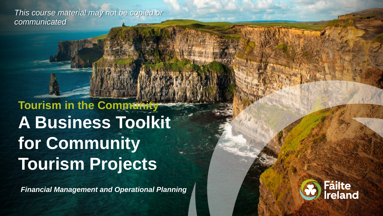*This course material may not be copied or communicated*

**Tourism in the Community A Business Toolkit for Community Tourism Projects** 

*Financial Management and Operational Planning*

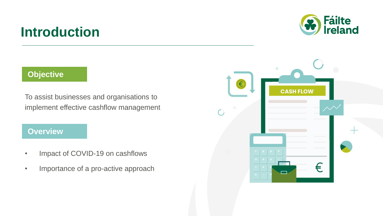## **Introduction**



#### **Objective**

To assist businesses and organisations to implement effective cashflow management

#### **Overview**

- Impact of COVID-19 on cashflows
- Importance of a pro-active approach

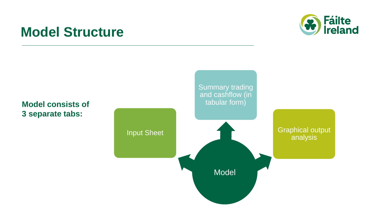## **Model Structure**



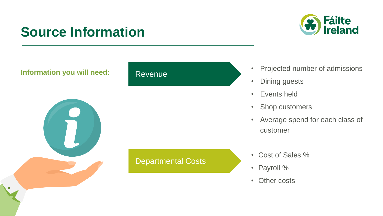# **Source Information**



#### **Information you will need:** Revenue



# Departmental Costs

- Projected number of admissions
- Dining guests
- Events held
- Shop customers
- Average spend for each class of customer
- Cost of Sales %
- Payroll %
- Other costs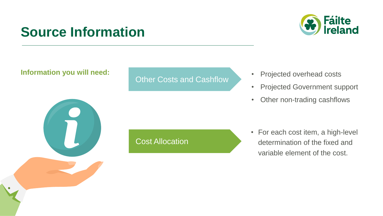# **Source Information**



#### **Information you will need:**

#### Other Costs and Cashflow

- Projected overhead costs
- Projected Government support
- Other non-trading cashflows

#### Cost Allocation

• For each cost item, a high-level determination of the fixed and variable element of the cost.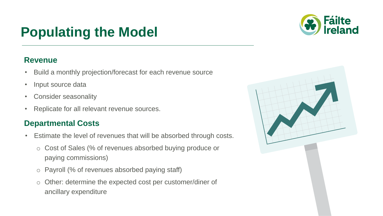# **Populating the Model**

#### **Revenue**

- Build a monthly projection/forecast for each revenue source
- Input source data
- Consider seasonality
- Replicate for all relevant revenue sources.

#### **Departmental Costs**

- Estimate the level of revenues that will be absorbed through costs.
	- o Cost of Sales (% of revenues absorbed buying produce or paying commissions)
	- o Payroll (% of revenues absorbed paying staff)
	- o Other: determine the expected cost per customer/diner of ancillary expenditure



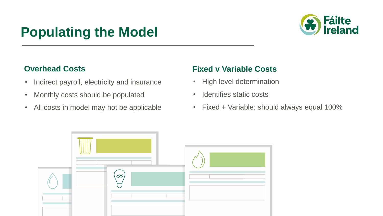# **Populating the Model**



#### **Overhead Costs**

- Indirect payroll, electricity and insurance
- Monthly costs should be populated
- All costs in model may not be applicable

#### **Fixed v Variable Costs**

- High level determination
- Identifies static costs
- Fixed + Variable: should always equal 100%

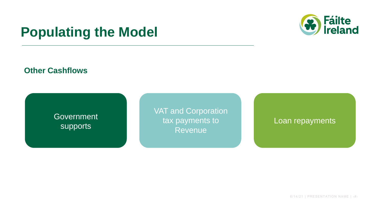## **Populating the Model**



#### **Other Cashflows**

**Government** supports

VAT and Corporation tax payments to Revenue

Loan repayments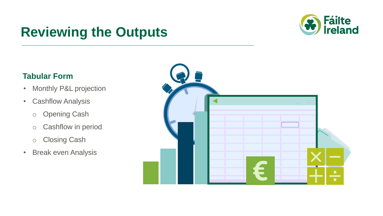# **Reviewing the Outputs**



#### **Tabular Form**

- Monthly P&L projection
- Cashflow Analysis
	- o Opening Cash
	- o Cashflow in period
	- o Closing Cash
- Break even Analysis

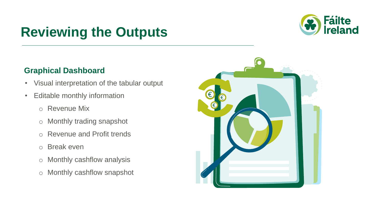# **Reviewing the Outputs**



#### **Graphical Dashboard**

- Visual interpretation of the tabular output
- Editable monthly information
	- o Revenue Mix
	- o Monthly trading snapshot
	- o Revenue and Profit trends
	- o Break even
	- o Monthly cashflow analysis
	- o Monthly cashflow snapshot

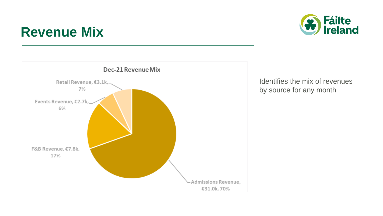## **Revenue Mix**





Identifies the mix of revenues by source for any month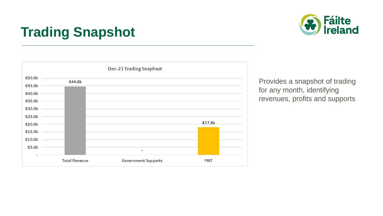# **Trading Snapshot**





Provides a snapshot of trading for any month, identifying revenues, profits and supports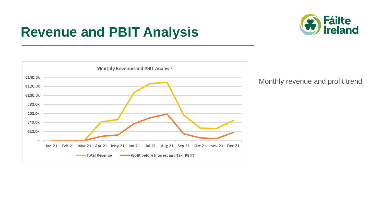## **Revenue and PBIT Analysis**





Monthly revenue and profit trend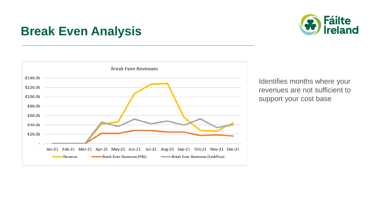### **Break Even Analysis**





Identifies months where your revenues are not sufficient to support your cost base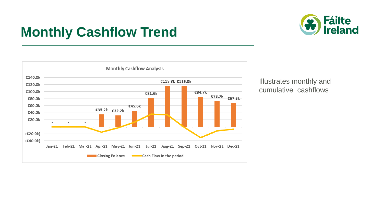

# **Monthly Cashflow Trend**



Illustrates monthly and cumulative cashflows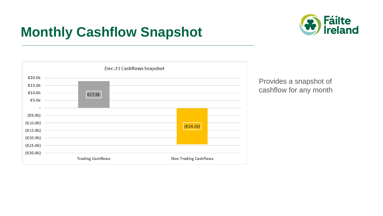# **Monthly Cashflow Snapshot**





Provides a snapshot of cashflow for any month